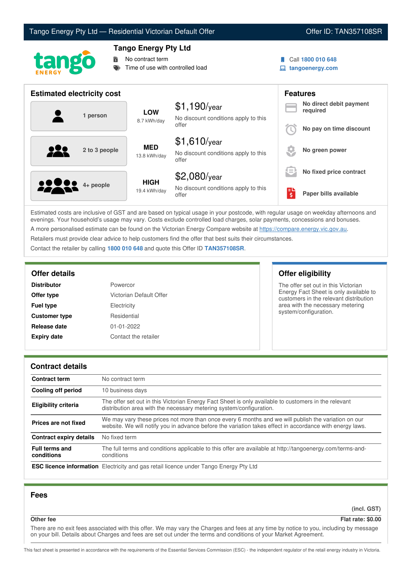## Tango Energy Pty Ltd — Residential Victorian Default Offer **Communist Communist Communist Communist Communist Communist Communist Communist Communist Communist Communist Communist Communist Communist Communist Communist Co**



## **Tango Energy Pty Ltd**

**No contract term** 

Time of use with controlled load

Call **1800 010 648**

**tangoenergy.com**

| <b>Estimated electricity cost</b> |                             |                                                                 |     | <b>Features</b>                     |
|-----------------------------------|-----------------------------|-----------------------------------------------------------------|-----|-------------------------------------|
| 1 person                          | <b>LOW</b><br>8.7 kWh/day   | $$1,190$ /year<br>No discount conditions apply to this          |     | No direct debit payment<br>required |
|                                   |                             | offer                                                           |     | No pay on time discount             |
| 929<br>2 to 3 people              | <b>MED</b><br>13.8 kWh/day  | $$1,610$ /year<br>No discount conditions apply to this<br>offer |     | No green power                      |
|                                   |                             | \$2,080/year                                                    | s = | No fixed price contract             |
| <b>00000</b> 4+ people            | <b>HIGH</b><br>19.4 kWh/day | No discount conditions apply to this<br>offer                   | Ś   | Paper bills available               |

Estimated costs are inclusive of GST and are based on typical usage in your postcode, with regular usage on weekday afternoons and evenings. Your household's usage may vary. Costs exclude controlled load charges, solar payments, concessions and bonuses. A more personalised estimate can be found on the Victorian Energy Compare website at <https://compare.energy.vic.gov.au>.

Retailers must provide clear advice to help customers find the offer that best suits their circumstances.

Contact the retailer by calling **1800 010 648** and quote this Offer ID **TAN357108SR**.

| <b>Distributor</b>   | Powercor                |
|----------------------|-------------------------|
| Offer type           | Victorian Default Offer |
| <b>Fuel type</b>     | Electricity             |
| <b>Customer type</b> | Residential             |
| Release date         | 01-01-2022              |
| <b>Expiry date</b>   | Contact the retailer    |

**Offer details Offer eligibility**

The offer set out in this Victorian Energy Fact Sheet is only available to customers in the relevant distribution area with the necessary metering system/configuration.

#### **Contract details**

| <b>Contract term</b>                | No contract term                                                                                                                                                                                                |  |
|-------------------------------------|-----------------------------------------------------------------------------------------------------------------------------------------------------------------------------------------------------------------|--|
| Cooling off period                  | 10 business days                                                                                                                                                                                                |  |
| <b>Eligibility criteria</b>         | The offer set out in this Victorian Energy Fact Sheet is only available to customers in the relevant<br>distribution area with the necessary metering system/configuration.                                     |  |
| Prices are not fixed                | We may vary these prices not more than once every 6 months and we will publish the variation on our<br>website. We will notify you in advance before the variation takes effect in accordance with energy laws. |  |
| Contract expiry details             | No fixed term                                                                                                                                                                                                   |  |
| <b>Full terms and</b><br>conditions | The full terms and conditions applicable to this offer are available at http://tangoenergy.com/terms-and-<br>conditions                                                                                         |  |
|                                     | <b>ESC licence information</b> Electricity and gas retail licence under Tango Energy Pty Ltd                                                                                                                    |  |

### **Fees**

**(incl. GST)**

## **Other fee Flat rate: \$0.00**

There are no exit fees associated with this offer. We may vary the Charges and fees at any time by notice to you, including by message on your bill. Details about Charges and fees are set out under the terms and conditions of your Market Agreement.

This fact sheet is presented in accordance with the requirements of the Essential Services Commission (ESC) - the independent regulator of the retail energy industry in Victoria.